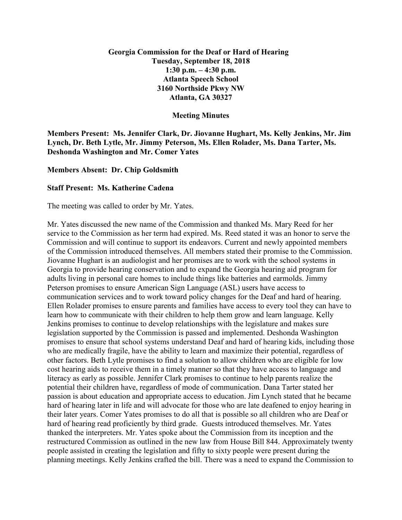## **Georgia Commission for the Deaf or Hard of Hearing Tuesday, September 18, 2018 1:30 p.m. – 4:30 p.m. Atlanta Speech School 3160 Northside Pkwy NW Atlanta, GA 30327**

## **Meeting Minutes**

**Members Present: Ms. Jennifer Clark, Dr. Jiovanne Hughart, Ms. Kelly Jenkins, Mr. Jim Lynch, Dr. Beth Lytle, Mr. Jimmy Peterson, Ms. Ellen Rolader, Ms. Dana Tarter, Ms. Deshonda Washington and Mr. Comer Yates**

## **Members Absent: Dr. Chip Goldsmith**

## **Staff Present: Ms. Katherine Cadena**

The meeting was called to order by Mr. Yates.

Mr. Yates discussed the new name of the Commission and thanked Ms. Mary Reed for her service to the Commission as her term had expired. Ms. Reed stated it was an honor to serve the Commission and will continue to support its endeavors. Current and newly appointed members of the Commission introduced themselves. All members stated their promise to the Commission. Jiovanne Hughart is an audiologist and her promises are to work with the school systems in Georgia to provide hearing conservation and to expand the Georgia hearing aid program for adults living in personal care homes to include things like batteries and earmolds. Jimmy Peterson promises to ensure American Sign Language (ASL) users have access to communication services and to work toward policy changes for the Deaf and hard of hearing. Ellen Rolader promises to ensure parents and families have access to every tool they can have to learn how to communicate with their children to help them grow and learn language. Kelly Jenkins promises to continue to develop relationships with the legislature and makes sure legislation supported by the Commission is passed and implemented. Deshonda Washington promises to ensure that school systems understand Deaf and hard of hearing kids, including those who are medically fragile, have the ability to learn and maximize their potential, regardless of other factors. Beth Lytle promises to find a solution to allow children who are eligible for low cost hearing aids to receive them in a timely manner so that they have access to language and literacy as early as possible. Jennifer Clark promises to continue to help parents realize the potential their children have, regardless of mode of communication. Dana Tarter stated her passion is about education and appropriate access to education. Jim Lynch stated that he became hard of hearing later in life and will advocate for those who are late deafened to enjoy hearing in their later years. Comer Yates promises to do all that is possible so all children who are Deaf or hard of hearing read proficiently by third grade. Guests introduced themselves. Mr. Yates thanked the interpreters. Mr. Yates spoke about the Commission from its inception and the restructured Commission as outlined in the new law from House Bill 844. Approximately twenty people assisted in creating the legislation and fifty to sixty people were present during the planning meetings. Kelly Jenkins crafted the bill. There was a need to expand the Commission to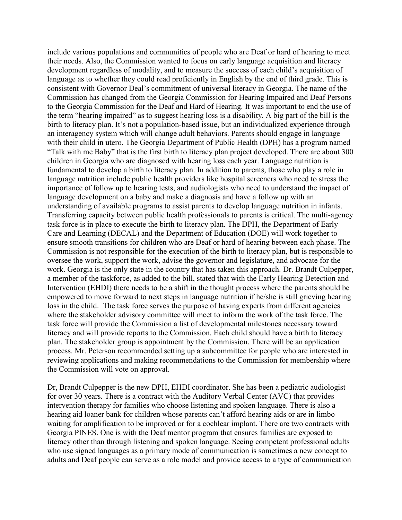include various populations and communities of people who are Deaf or hard of hearing to meet their needs. Also, the Commission wanted to focus on early language acquisition and literacy development regardless of modality, and to measure the success of each child's acquisition of language as to whether they could read proficiently in English by the end of third grade. This is consistent with Governor Deal's commitment of universal literacy in Georgia. The name of the Commission has changed from the Georgia Commission for Hearing Impaired and Deaf Persons to the Georgia Commission for the Deaf and Hard of Hearing. It was important to end the use of the term "hearing impaired" as to suggest hearing loss is a disability. A big part of the bill is the birth to literacy plan. It's not a population-based issue, but an individualized experience through an interagency system which will change adult behaviors. Parents should engage in language with their child in utero. The Georgia Department of Public Health (DPH) has a program named "Talk with me Baby" that is the first birth to literacy plan project developed. There are about 300 children in Georgia who are diagnosed with hearing loss each year. Language nutrition is fundamental to develop a birth to literacy plan. In addition to parents, those who play a role in language nutrition include public health providers like hospital screeners who need to stress the importance of follow up to hearing tests, and audiologists who need to understand the impact of language development on a baby and make a diagnosis and have a follow up with an understanding of available programs to assist parents to develop language nutrition in infants. Transferring capacity between public health professionals to parents is critical. The multi-agency task force is in place to execute the birth to literacy plan. The DPH, the Department of Early Care and Learning (DECAL) and the Department of Education (DOE) will work together to ensure smooth transitions for children who are Deaf or hard of hearing between each phase. The Commission is not responsible for the execution of the birth to literacy plan, but is responsible to oversee the work, support the work, advise the governor and legislature, and advocate for the work. Georgia is the only state in the country that has taken this approach. Dr. Brandt Culpepper, a member of the taskforce, as added to the bill, stated that with the Early Hearing Detection and Intervention (EHDI) there needs to be a shift in the thought process where the parents should be empowered to move forward to next steps in language nutrition if he/she is still grieving hearing loss in the child. The task force serves the purpose of having experts from different agencies where the stakeholder advisory committee will meet to inform the work of the task force. The task force will provide the Commission a list of developmental milestones necessary toward literacy and will provide reports to the Commission. Each child should have a birth to literacy plan. The stakeholder group is appointment by the Commission. There will be an application process. Mr. Peterson recommended setting up a subcommittee for people who are interested in reviewing applications and making recommendations to the Commission for membership where the Commission will vote on approval.

Dr, Brandt Culpepper is the new DPH, EHDI coordinator. She has been a pediatric audiologist for over 30 years. There is a contract with the Auditory Verbal Center (AVC) that provides intervention therapy for families who choose listening and spoken language. There is also a hearing aid loaner bank for children whose parents can't afford hearing aids or are in limbo waiting for amplification to be improved or for a cochlear implant. There are two contracts with Georgia PINES. One is with the Deaf mentor program that ensures families are exposed to literacy other than through listening and spoken language. Seeing competent professional adults who use signed languages as a primary mode of communication is sometimes a new concept to adults and Deaf people can serve as a role model and provide access to a type of communication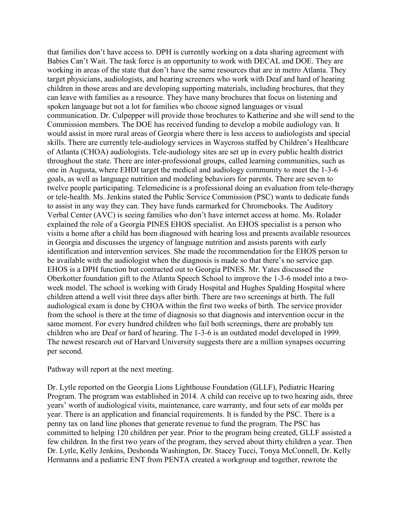that families don't have access to. DPH is currently working on a data sharing agreement with Babies Can't Wait. The task force is an opportunity to work with DECAL and DOE. They are working in areas of the state that don't have the same resources that are in metro Atlanta. They target physicians, audiologists, and hearing screeners who work with Deaf and hard of hearing children in those areas and are developing supporting materials, including brochures, that they can leave with families as a resource. They have many brochures that focus on listening and spoken language but not a lot for families who choose signed languages or visual communication. Dr. Culpepper will provide those brochures to Katherine and she will send to the Commission members. The DOE has received funding to develop a mobile audiology van. It would assist in more rural areas of Georgia where there is less access to audiologists and special skills. There are currently tele-audiology services in Waycross staffed by Children's Healthcare of Atlanta (CHOA) audiologists. Tele-audiology sites are set up in every public health district throughout the state. There are inter-professional groups, called learning communities, such as one in Augusta, where EHDI target the medical and audiology community to meet the 1-3-6 goals, as well as language nutrition and modeling behaviors for parents. There are seven to twelve people participating. Telemedicine is a professional doing an evaluation from tele-therapy or tele-health. Ms. Jenkins stated the Public Service Commission (PSC) wants to dedicate funds to assist in any way they can. They have funds earmarked for Chromebooks. The Auditory Verbal Center (AVC) is seeing families who don't have internet access at home. Ms. Rolader explained the role of a Georgia PINES EHOS specialist. An EHOS specialist is a person who visits a home after a child has been diagnosed with hearing loss and presents available resources in Georgia and discusses the urgency of language nutrition and assists parents with early identification and intervention services. She made the recommendation for the EHOS person to be available with the audiologist when the diagnosis is made so that there's no service gap. EHOS is a DPH function but contracted out to Georgia PINES. Mr. Yates discussed the Oberkotter foundation gift to the Atlanta Speech School to improve the 1-3-6 model into a twoweek model. The school is working with Grady Hospital and Hughes Spalding Hospital where children attend a well visit three days after birth. There are two screenings at birth. The full audiological exam is done by CHOA within the first two weeks of birth. The service provider from the school is there at the time of diagnosis so that diagnosis and intervention occur in the same moment. For every hundred children who fail both screenings, there are probably ten children who are Deaf or hard of hearing. The 1-3-6 is an outdated model developed in 1999. The newest research out of Harvard University suggests there are a million synapses occurring per second.

Pathway will report at the next meeting.

Dr. Lytle reported on the Georgia Lions Lighthouse Foundation (GLLF), Pediatric Hearing Program. The program was established in 2014. A child can receive up to two hearing aids, three years' worth of audiological visits, maintenance, care warranty, and four sets of ear molds per year. There is an application and financial requirements. It is funded by the PSC. There is a penny tax on land line phones that generate revenue to fund the program. The PSC has committed to helping 120 children per year. Prior to the program being created, GLLF assisted a few children. In the first two years of the program, they served about thirty children a year. Then Dr. Lytle, Kelly Jenkins, Deshonda Washington, Dr. Stacey Tucci, Tonya McConnell, Dr. Kelly Hermanns and a pediatric ENT from PENTA created a workgroup and together, rewrote the